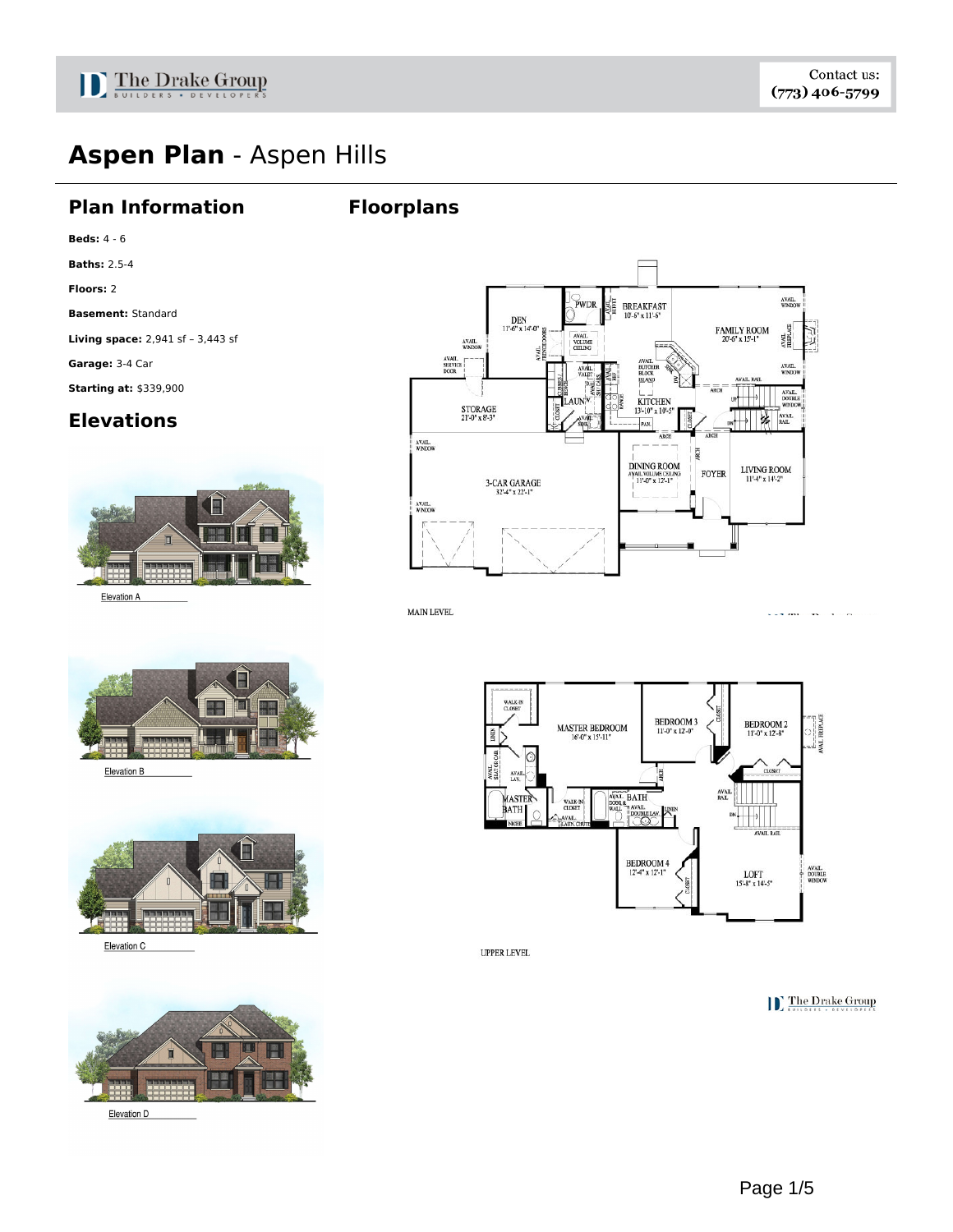

# **Aspen Plan** - Aspen Hills

#### **Plan Information**

#### **Floorplans**

**Beds:** 4 - 6

**Baths:** 2.5-4

**Floors:** 2

**Basement:** Standard

**Living space:** 2,941 sf – 3,443 sf

**Garage:** 3-4 Car

**Starting at:** \$339,900

### **Elevations**



AVAIL<br>WINDOV PWDR 牅 BREAKFAST<br>10'-6" x 11'-6" DEN<br>11'-6" x 14'-0  $\begin{array}{c} \text{FAMILY ROM} \\ \text{20-6" x 15-1"} \end{array}$  $\frac{\text{AVAL}}{\text{TREFLATE}}$ AVAIL<br>VOLUME<br>CEILING **AVAIL**<br>WINDO  $\begin{array}{ll} & \text{AVAIL.}\\ & \text{SEKVICE}\\ \text{DOOR} \end{array}$ **AVAIL**<br>WIND VAIL<br>ALEI AVAIL.<br>DOUBLE KITCHEN<br>13'-10" x 10'-5 STORAGE<br>21'-0" x 8'-3" AVAIL.<br>RAIL 锑 PAN AVAIL.<br>WINDOW 2 |<br>DINING ROOM<br>ayail.volume.ceiling LIVING ROOM  $11'$ -4" x  $14'$ -2" **FOYER** AIL VOLUME CEILI<br>11'-0" x 12'-1"  $3-CAR GARAGE  
32'4" x 22'-1"$ AVAIL,<br>WINDOW

**MAIN LEVEL** 



Elevation B



Elevation C



Elevation D



**UPPER LEVEL** 

**C** The Drake Group

 $1.83$  THe cDecades  $O_{\text{max}}$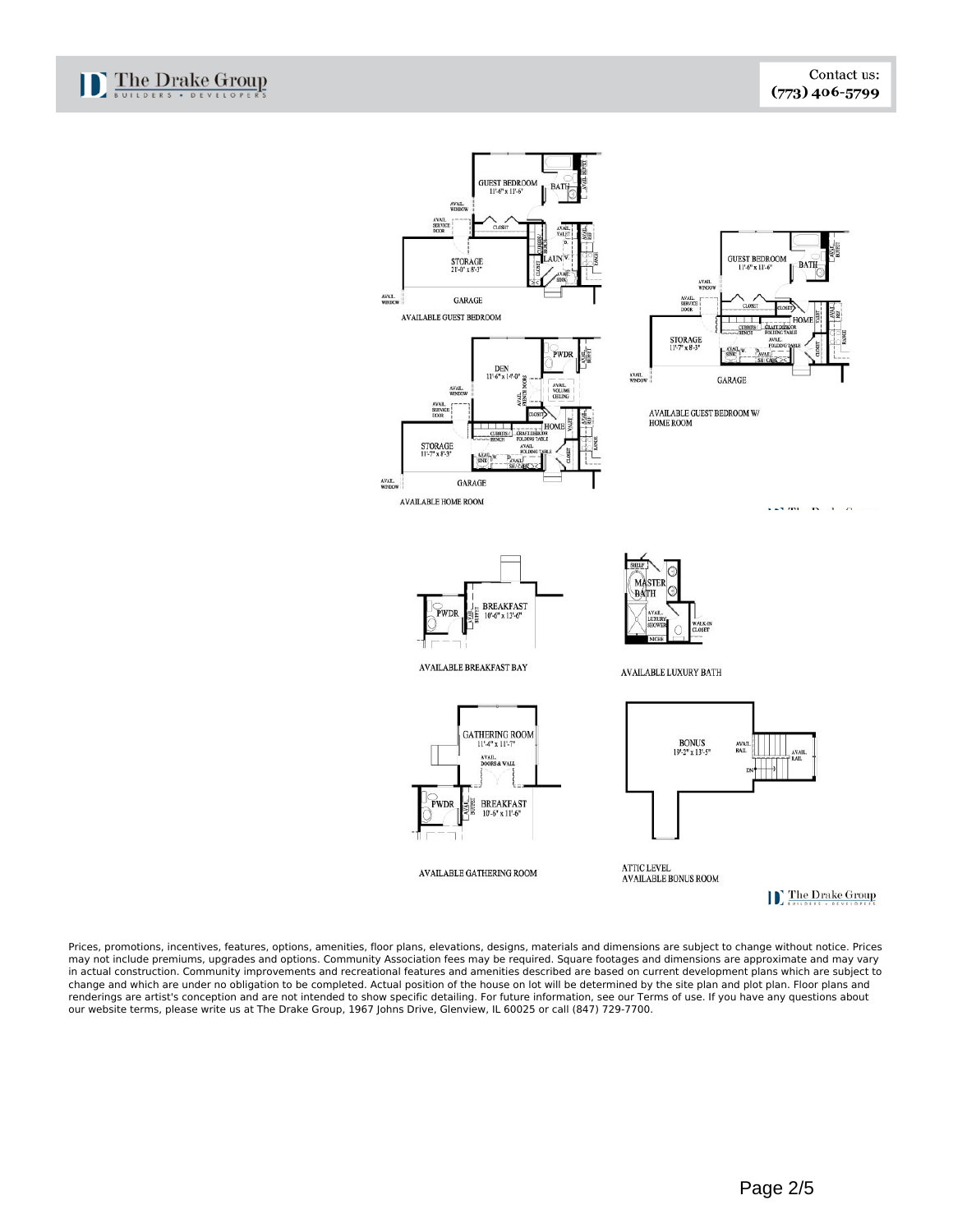

Prices, promotions, incentives, features, options, amenities, floor plans, elevations, designs, materials and dimensions are subject to change without notice. Prices may not include premiums, upgrades and options. Community Association fees may be required. Square footages and dimensions are approximate and may vary in actual construction. Community improvements and recreational features and amenities described are based on current development plans which are subject to change and which are under no obligation to be completed. Actual position of the house on lot will be determined by the site plan and plot plan. Floor plans and renderings are artist's conception and are not intended to show specific detailing. For future information, see our Terms of use. If you have any questions about our website terms, please write us at The Drake Group, 1967 Johns Drive, Glenview, IL 60025 or call (847) 729-7700.

D The Drake Group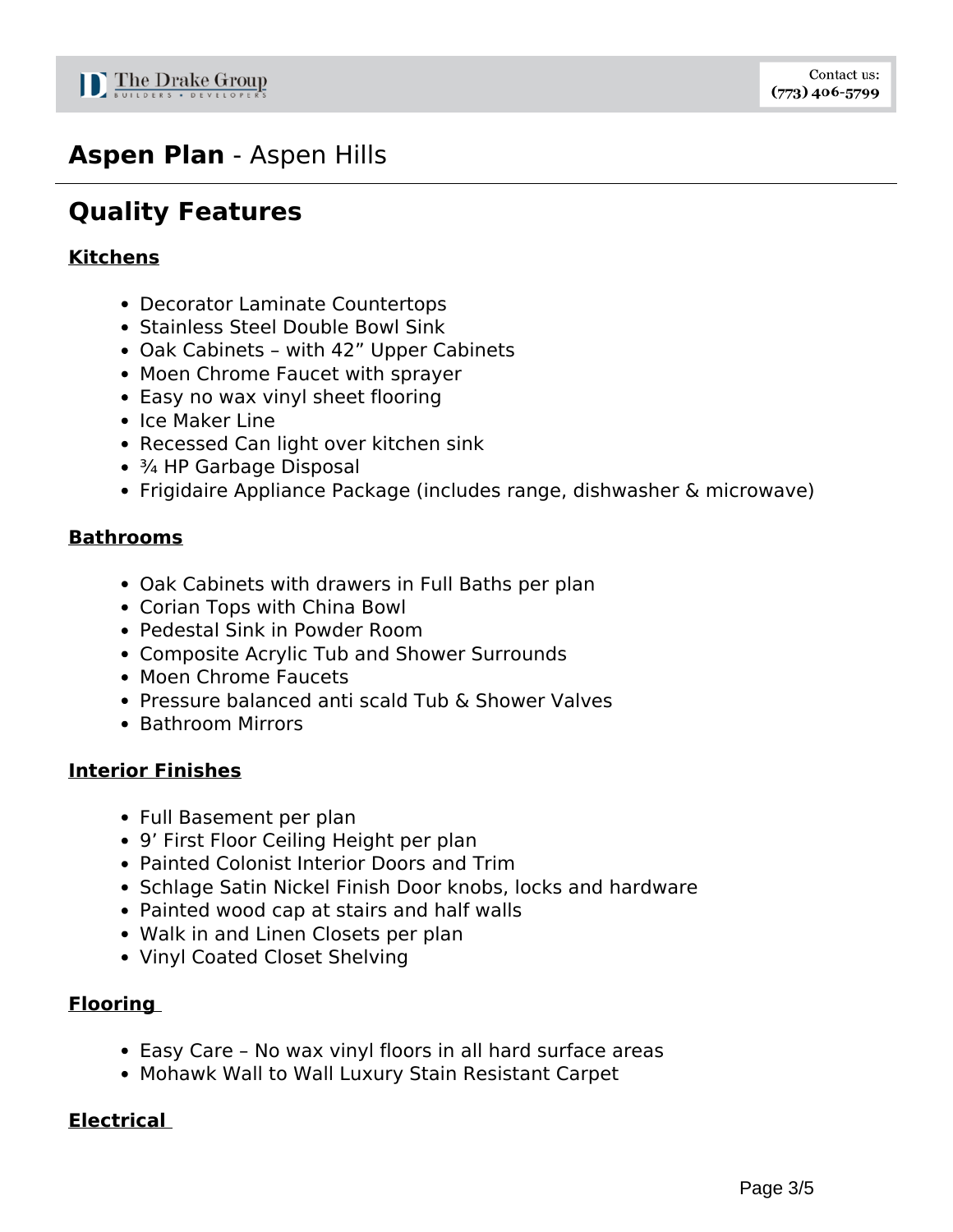## **Aspen Plan** - Aspen Hills

# **Quality Features**

### **Kitchens**

- Decorator Laminate Countertops
- Stainless Steel Double Bowl Sink
- Oak Cabinets with 42" Upper Cabinets
- Moen Chrome Faucet with sprayer
- Easy no wax vinyl sheet flooring
- Ice Maker Line
- Recessed Can light over kitchen sink
- ¾ HP Garbage Disposal
- Frigidaire Appliance Package (includes range, dishwasher & microwave)

#### **Bathrooms**

- Oak Cabinets with drawers in Full Baths per plan
- Corian Tops with China Bowl
- Pedestal Sink in Powder Room
- Composite Acrylic Tub and Shower Surrounds
- Moen Chrome Faucets
- Pressure balanced anti scald Tub & Shower Valves
- Bathroom Mirrors

### **Interior Finishes**

- Full Basement per plan
- 9' First Floor Ceiling Height per plan
- Painted Colonist Interior Doors and Trim
- Schlage Satin Nickel Finish Door knobs, locks and hardware
- Painted wood cap at stairs and half walls
- Walk in and Linen Closets per plan
- Vinyl Coated Closet Shelving

### **Flooring**

- Easy Care No wax vinyl floors in all hard surface areas
- Mohawk Wall to Wall Luxury Stain Resistant Carpet

### **Electrical**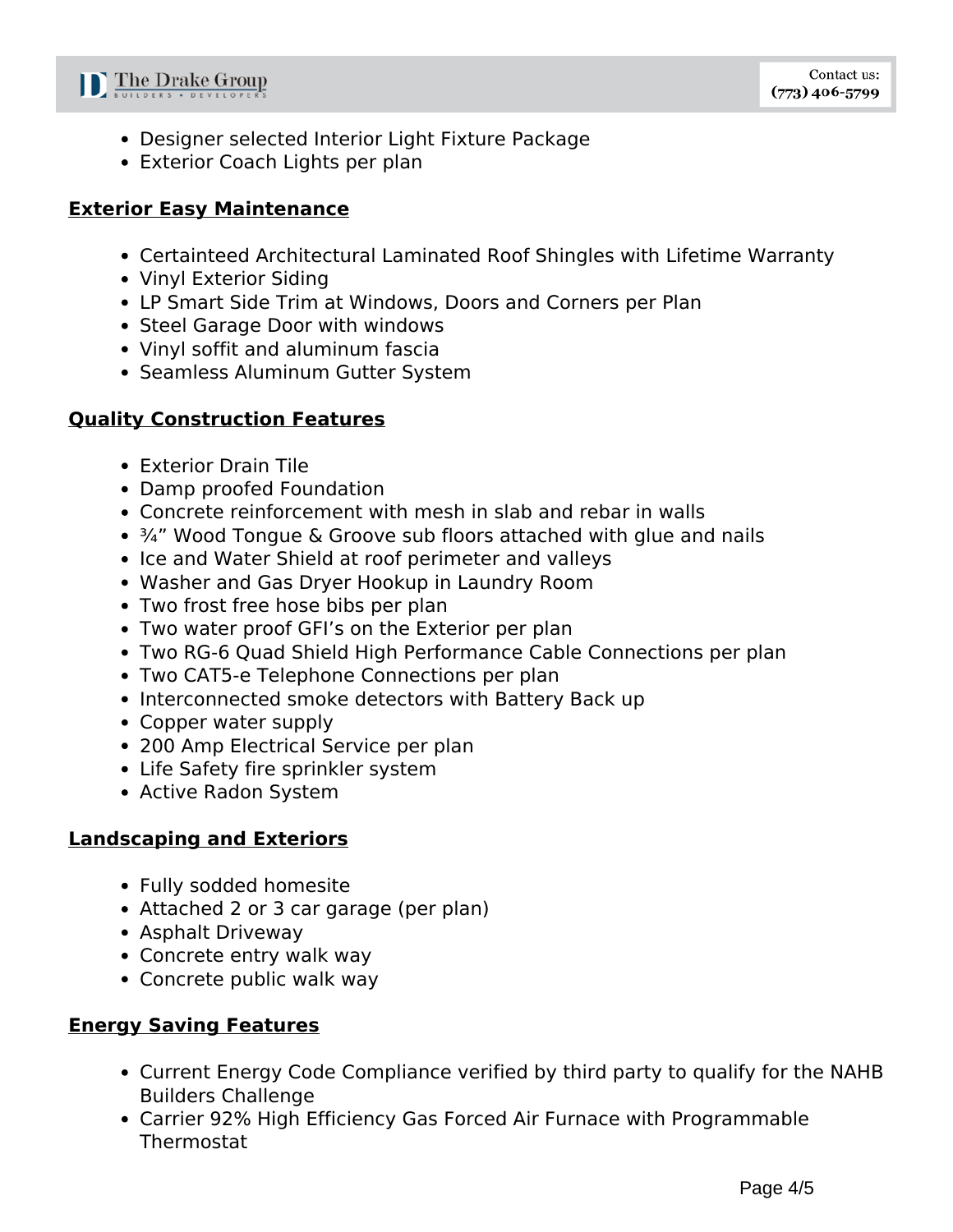

- Designer selected Interior Light Fixture Package
- Exterior Coach Lights per plan

#### **Exterior Easy Maintenance**

- Certainteed Architectural Laminated Roof Shingles with Lifetime Warranty
- Vinyl Exterior Siding
- LP Smart Side Trim at Windows, Doors and Corners per Plan
- Steel Garage Door with windows
- Vinyl soffit and aluminum fascia
- Seamless Aluminum Gutter System

### **Quality Construction Features**

- Exterior Drain Tile
- Damp proofed Foundation
- Concrete reinforcement with mesh in slab and rebar in walls
- ¾" Wood Tongue & Groove sub floors attached with glue and nails
- Ice and Water Shield at roof perimeter and valleys
- Washer and Gas Dryer Hookup in Laundry Room
- Two frost free hose bibs per plan
- Two water proof GFI's on the Exterior per plan
- Two RG-6 Quad Shield High Performance Cable Connections per plan
- Two CAT5-e Telephone Connections per plan
- Interconnected smoke detectors with Battery Back up
- Copper water supply
- 200 Amp Electrical Service per plan
- Life Safety fire sprinkler system
- Active Radon System

### **Landscaping and Exteriors**

- Fully sodded homesite
- Attached 2 or 3 car garage (per plan)
- Asphalt Driveway
- Concrete entry walk way
- Concrete public walk way

### **Energy Saving Features**

- Current Energy Code Compliance verified by third party to qualify for the NAHB Builders Challenge
- Carrier 92% High Efficiency Gas Forced Air Furnace with Programmable Thermostat